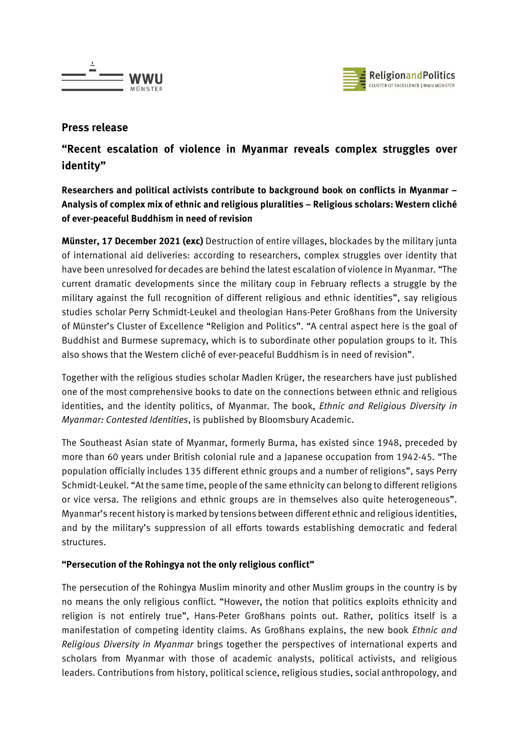



## **Press release**

# **"Recent escalation of violence in Myanmar reveals complex struggles over identity"**

**Researchers and political activists contribute to background book on conflicts in Myanmar – Analysis of complex mix of ethnic and religious pluralities – Religious scholars: Western cliché of ever-peaceful Buddhism in need of revision**

**Münster, 17 December 2021 (exc)** Destruction of entire villages, blockades by the military junta of international aid deliveries: according to researchers, complex struggles over identity that have been unresolved for decades are behind the latest escalation of violence in Myanmar. "The current dramatic developments since the military coup in February reflects a struggle by the military against the full recognition of different religious and ethnic identities", say religious studies scholar Perry Schmidt-Leukel and theologian Hans-Peter Großhans from the University of Münster's Cluster of Excellence "Religion and Politics". "A central aspect here is the goal of Buddhist and Burmese supremacy, which is to subordinate other population groups to it. This also shows that the Western cliché of ever-peaceful Buddhism is in need of revision".

Together with the religious studies scholar Madlen Krüger, the researchers have just published one of the most comprehensive books to date on the connections between ethnic and religious identities, and the identity politics, of Myanmar. The book, *Ethnic and Religious Diversity in Myanmar: Contested Identities*, is published by Bloomsbury Academic.

The Southeast Asian state of Myanmar, formerly Burma, has existed since 1948, preceded by more than 60 years under British colonial rule and a Japanese occupation from 1942-45. "The population officially includes 135 different ethnic groups and a number of religions", says Perry Schmidt-Leukel. "At the same time, people of the same ethnicity can belong to different religions or vice versa. The religions and ethnic groups are in themselves also quite heterogeneous". Myanmar's recent history is marked by tensions between different ethnic and religious identities, and by the military's suppression of all efforts towards establishing democratic and federal structures.

### **"Persecution of the Rohingya not the only religious conflict"**

The persecution of the Rohingya Muslim minority and other Muslim groups in the country is by no means the only religious conflict. "However, the notion that politics exploits ethnicity and religion is not entirely true", Hans-Peter Großhans points out. Rather, politics itself is a manifestation of competing identity claims. As Großhans explains, the new book *Ethnic and Religious Diversity in Myanmar* brings together the perspectives of international experts and scholars from Myanmar with those of academic analysts, political activists, and religious leaders. Contributions from history, political science, religious studies, social anthropology, and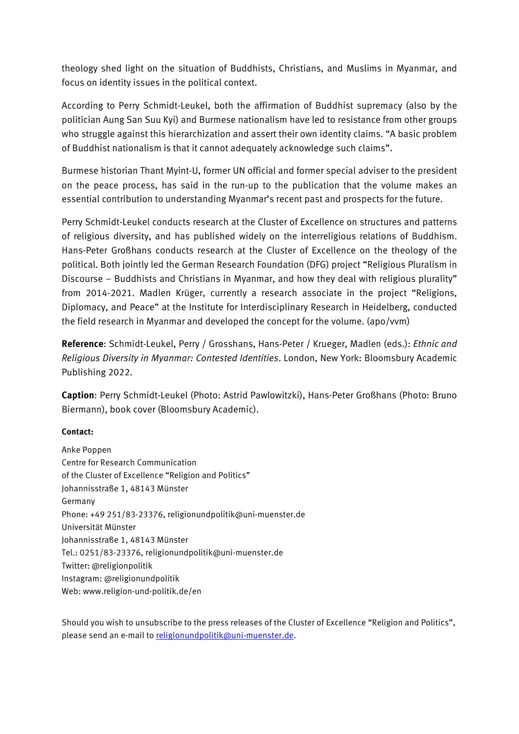theology shed light on the situation of Buddhists, Christians, and Muslims in Myanmar, and focus on identity issues in the political context.

According to Perry Schmidt-Leukel, both the affirmation of Buddhist supremacy (also by the politician Aung San Suu Kyi) and Burmese nationalism have led to resistance from other groups who struggle against this hierarchization and assert their own identity claims. "A basic problem of Buddhist nationalism is that it cannot adequately acknowledge such claims".

Burmese historian Thant Myint-U, former UN official and former special adviser to the president on the peace process, has said in the run-up to the publication that the volume makes an essential contribution to understanding Myanmar's recent past and prospects for the future.

Perry Schmidt-Leukel conducts research at the Cluster of Excellence on structures and patterns of religious diversity, and has published widely on the interreligious relations of Buddhism. Hans-Peter Großhans conducts research at the Cluster of Excellence on the theology of the political. Both jointly led the German Research Foundation (DFG) project "Religious Pluralism in Discourse – Buddhists and Christians in Myanmar, and how they deal with religious plurality" from 2014-2021. Madlen Krüger, currently a research associate in the project "Religions, Diplomacy, and Peace" at the Institute for Interdisciplinary Research in Heidelberg, conducted the field research in Myanmar and developed the concept for the volume. (apo/vvm)

**Reference**: Schmidt-Leukel, Perry / Grosshans, Hans-Peter / Krueger, Madlen (eds.): *Ethnic and Religious Diversity in Myanmar: Contested Identities*. London, New York: Bloomsbury Academic Publishing 2022.

**Caption**: Perry Schmidt-Leukel (Photo: Astrid Pawlowitzki), Hans-Peter Großhans (Photo: Bruno Biermann), book cover (Bloomsbury Academic).

#### **Contact:**

Anke Poppen Centre for Research Communication of the Cluster of Excellence "Religion and Politics" Johannisstraße 1, 48143 Münster Germany Phone: +49 251/83-23376, religionundpolitik@uni-muenster.de Universität Münster Johannisstraße 1, 48143 Münster Tel.: 0251/83-23376, religionundpolitik@uni-muenster.de Twitter[: @religionpolitik](https://twitter.com/religionpolitik) Instagram[: @religionundpolitik](https://www.instagram.com/religionundpolitik/) Web: [www.religion-und-politik.de/](http://www.religion-und-politik.de/)en

Should you wish to unsubscribe to the press releases of the Cluster of Excellence "Religion and Politics", please send an e-mail to [religionundpolitik@uni-muenster.de.](mailto:religionundpolitik@uni-muenster.de)